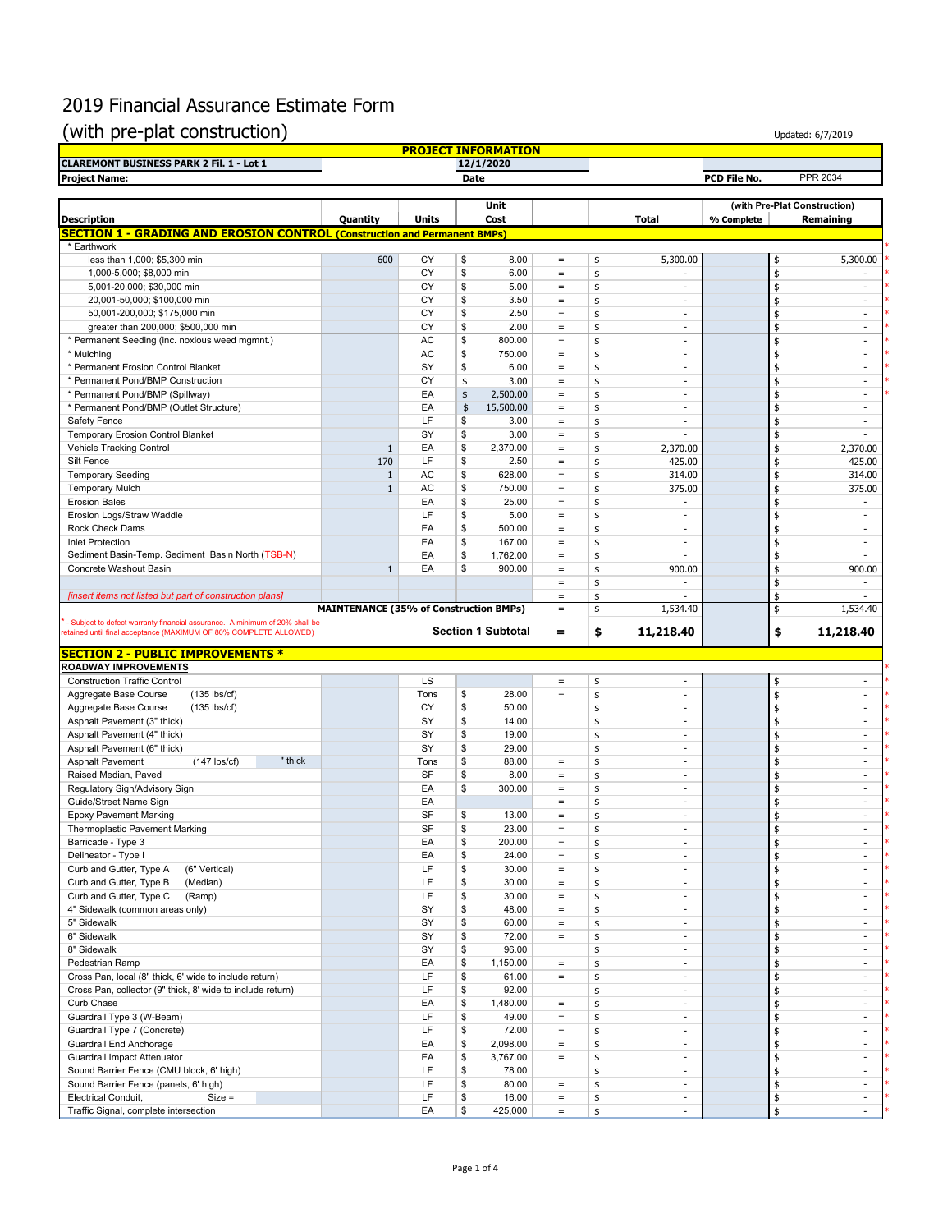## 2019 Financial Assurance Estimate Form

## (with pre-plat construction)

|                                                                                                                                                  |                                               |              |             | <b>PROJECT INFORMATION</b> |                                        |          |                          |              |                           |                              |
|--------------------------------------------------------------------------------------------------------------------------------------------------|-----------------------------------------------|--------------|-------------|----------------------------|----------------------------------------|----------|--------------------------|--------------|---------------------------|------------------------------|
| <b>CLAREMONT BUSINESS PARK 2 Fil. 1 - Lot 1</b>                                                                                                  |                                               |              |             | 12/1/2020                  |                                        |          |                          |              |                           |                              |
| <b>Project Name:</b>                                                                                                                             |                                               |              | <b>Date</b> |                            |                                        |          |                          | PCD File No. |                           | PPR 2034                     |
|                                                                                                                                                  |                                               |              |             | Unit                       |                                        |          |                          |              |                           | (with Pre-Plat Construction) |
| <b>Description</b>                                                                                                                               | Quantity                                      | <b>Units</b> |             | Cost                       |                                        |          | <b>Total</b>             | % Complete   |                           | Remaining                    |
| <b>SECTION 1 - GRADING AND EROSION CONTROL (Construction and Permanent BMPs)</b>                                                                 |                                               |              |             |                            |                                        |          |                          |              |                           |                              |
| * Earthwork<br>less than 1,000; \$5,300 min                                                                                                      | 600                                           | CY           | \$          | 8.00                       | $\equiv$                               | \$       | 5,300.00                 |              | \$                        | 5,300.00                     |
| 1,000-5,000; \$8,000 min                                                                                                                         |                                               | CY           | \$          | 6.00                       | $\qquad \qquad =$                      | \$       |                          |              | \$                        | $\sim$                       |
| 5,001-20,000; \$30,000 min                                                                                                                       |                                               | CY           | \$          | 5.00                       | $\qquad \qquad =$                      | \$       | ä,                       |              | \$                        | ×.                           |
| 20,001-50,000; \$100,000 min                                                                                                                     |                                               | CY           | \$          | 3.50                       | $\equiv$                               | \$       | ä,                       |              | $\frac{4}{3}$             | $\sim$                       |
| 50,001-200,000; \$175,000 min                                                                                                                    |                                               | CY           | \$          | 2.50                       | $\qquad \qquad =$                      | \$       | ÷,                       |              | \$                        | ÷,                           |
| greater than 200,000; \$500,000 min                                                                                                              |                                               | CY           | \$          | 2.00                       | $\equiv$                               | \$       | ٠                        |              | \$                        | $\sim$                       |
| * Permanent Seeding (inc. noxious weed mgmnt.)                                                                                                   |                                               | AC           | \$          | 800.00                     | $\equiv$                               | \$       | ٠                        |              | \$                        | $\overline{\phantom{a}}$     |
| * Mulching                                                                                                                                       |                                               | AC           | \$          | 750.00                     | $\equiv$                               | \$       | $\blacksquare$           |              | \$                        | $\overline{\phantom{a}}$     |
| * Permanent Erosion Control Blanket                                                                                                              |                                               | SY           | \$          | 6.00                       | $\qquad \qquad =$                      | \$       | ÷,                       |              | \$                        | $\frac{1}{2}$                |
| * Permanent Pond/BMP Construction                                                                                                                |                                               | CY           | \$          | 3.00                       | $\qquad \qquad =$                      | \$       | ٠                        |              | \$                        | $\sim$                       |
| * Permanent Pond/BMP (Spillway)                                                                                                                  |                                               | EA           | \$          | 2,500.00                   | $\equiv$                               | \$       | ä,                       |              | \$                        | $\sim$                       |
| * Permanent Pond/BMP (Outlet Structure)                                                                                                          |                                               | EA           | \$          | 15,500.00                  | $\equiv$                               | \$       | ä,                       |              | \$                        | ×.                           |
| Safety Fence                                                                                                                                     |                                               | LF           | \$          | 3.00                       | $\equiv$                               | \$       | ÷,                       |              | \$                        | $\overline{\phantom{a}}$     |
| <b>Temporary Erosion Control Blanket</b>                                                                                                         |                                               | SY           | \$          | 3.00                       | $\equiv$                               | \$       | $\frac{1}{2}$            |              | \$                        | $\overline{\phantom{a}}$     |
| <b>Vehicle Tracking Control</b>                                                                                                                  | $\mathbf{1}$                                  | EA           | \$          | 2,370.00                   | $\qquad \qquad =$                      | \$       | 2,370.00                 |              | \$                        | 2,370.00                     |
| Silt Fence                                                                                                                                       | 170                                           | LF           | \$          | 2.50                       | $\equiv$                               | \$       | 425.00                   |              | \$                        | 425.00                       |
| <b>Temporary Seeding</b>                                                                                                                         | $\mathbf{1}$                                  | AC           | \$          | 628.00                     | $\equiv$                               | \$       | 314.00                   |              | $\frac{1}{2}$             | 314.00                       |
| <b>Temporary Mulch</b>                                                                                                                           | $\mathbf{1}$                                  | AC           | \$          | 750.00                     | $\qquad \qquad =$                      | \$       | 375.00                   |              | \$                        | 375.00                       |
| <b>Erosion Bales</b>                                                                                                                             |                                               | EA           | \$          | 25.00                      | $\qquad \qquad =$                      | \$       | ä,                       |              | \$                        | ÷.                           |
| Erosion Logs/Straw Waddle                                                                                                                        |                                               | LF           | \$          | 5.00                       | $\equiv$                               | \$       | ٠                        |              | \$                        | $\sim$                       |
| <b>Rock Check Dams</b>                                                                                                                           |                                               | EA           | \$          | 500.00                     | $\equiv$                               | \$       | ä,                       |              | $\frac{4}{3}$             | $\sim$                       |
| <b>Inlet Protection</b>                                                                                                                          |                                               | EA           | \$          | 167.00                     | $=$                                    | \$       | ä,                       |              |                           | $\frac{1}{2}$                |
| Sediment Basin-Temp. Sediment Basin North (TSB-N)                                                                                                |                                               | EA           | \$          | 1,762.00                   | $\equiv$                               | \$       | ä,                       |              | \$<br>\$                  | ٠                            |
| Concrete Washout Basin                                                                                                                           | $\mathbf{1}$                                  | EA           | \$          | 900.00                     |                                        | \$       | 900.00                   |              | \$                        | 900.00                       |
|                                                                                                                                                  |                                               |              |             |                            | $\qquad \qquad =$<br>$\qquad \qquad =$ | \$       | ä,                       |              |                           |                              |
| [insert items not listed but part of construction plans]                                                                                         |                                               |              |             |                            |                                        | \$       |                          |              | \$<br>\$                  |                              |
|                                                                                                                                                  | <b>MAINTENANCE (35% of Construction BMPs)</b> |              |             |                            | $\equiv$<br>$\qquad \qquad =$          | \$       | 1,534.40                 |              | \$                        | 1,534.40                     |
| - Subject to defect warranty financial assurance. A minimum of 20% shall be<br>retained until final acceptance (MAXIMUM OF 80% COMPLETE ALLOWED) |                                               |              |             | <b>Section 1 Subtotal</b>  |                                        |          | 11,218.40                |              |                           |                              |
|                                                                                                                                                  |                                               |              |             |                            |                                        |          |                          |              |                           |                              |
|                                                                                                                                                  |                                               |              |             |                            | $\equiv$                               | \$       |                          |              | \$                        | 11,218.40                    |
|                                                                                                                                                  |                                               |              |             |                            |                                        |          |                          |              |                           |                              |
|                                                                                                                                                  |                                               |              |             |                            |                                        |          |                          |              |                           |                              |
| <b>Construction Traffic Control</b>                                                                                                              |                                               | LS           |             |                            | $\qquad \qquad =$                      | \$       | ٠                        |              | \$                        | $\sim$                       |
| Aggregate Base Course<br>$(135$ lbs/cf)                                                                                                          |                                               | Tons         | \$          | 28.00                      | $\qquad \qquad =$                      | \$       | ä,                       |              | \$                        | ×.                           |
| Aggregate Base Course<br>$(135$ lbs/cf)                                                                                                          |                                               | CY           | \$          | 50.00                      |                                        | \$       | ÷,                       |              | \$                        | $\frac{1}{2}$                |
| Asphalt Pavement (3" thick)                                                                                                                      |                                               | SY           | \$          | 14.00                      |                                        | \$       | $\sim$                   |              | \$                        | $\sim$                       |
| Asphalt Pavement (4" thick)                                                                                                                      |                                               | SY           | \$          | 19.00                      |                                        | \$       | ä,                       |              | $\frac{4}{3}$             | $\overline{\phantom{a}}$     |
| Asphalt Pavement (6" thick)                                                                                                                      |                                               | SY           | \$          | 29.00                      |                                        | \$       | ä,                       |              | $\frac{4}{3}$             | $\sim$                       |
| <b>Asphalt Pavement</b><br>$(147$ lbs/cf)<br>$\mathbf{r}$ thick                                                                                  |                                               | Tons         | \$          | 88.00                      | $=$                                    | \$       | ÷,                       |              | \$                        | ÷,                           |
| Raised Median, Paved                                                                                                                             |                                               | SF           | \$          | 8.00                       | $\equiv$                               | \$       | ٠                        |              | \$                        | $\sim$                       |
| Regulatory Sign/Advisory Sign                                                                                                                    |                                               | EA           | \$          | 300.00                     | $\qquad \qquad =$                      | \$       | ٠                        |              | \$                        | $\sim$                       |
| Guide/Street Name Sign                                                                                                                           |                                               | EA           |             |                            | $\equiv$                               | \$       | ×.                       |              | \$                        | ×.                           |
| <b>Epoxy Pavement Marking</b>                                                                                                                    |                                               | SF           | \$          | 13.00                      | $=$                                    | \$       | ä,                       |              | \$                        | ٠                            |
| Thermoplastic Pavement Marking                                                                                                                   |                                               | SF           | \$          | 23.00                      | $\qquad \qquad =$                      | \$       | $\frac{1}{2}$            |              | \$                        |                              |
| Barricade - Type 3                                                                                                                               |                                               | EA           | \$          | 200.00                     | $\qquad \qquad =$                      | \$       | ٠                        |              | \$                        | $\sim$                       |
| Delineator - Type I                                                                                                                              |                                               | EA           | \$          | 24.00                      | $\equiv$                               | \$       | ٠                        |              | $\frac{1}{2}$             | $\sim$                       |
| Curb and Gutter, Type A<br>(6" Vertical)                                                                                                         |                                               | LF           | \$          | 30.00                      | $\equiv$                               | \$       | $\overline{\phantom{a}}$ |              | $\frac{1}{2}$             | $\sim$                       |
| Curb and Gutter, Type B<br>(Median)                                                                                                              |                                               | LF           | \$          | 30.00                      | $\equiv$                               | \$       | $\overline{\phantom{a}}$ |              | \$                        | $\overline{\phantom{a}}$     |
| Curb and Gutter, Type C<br>(Ramp)                                                                                                                |                                               | LF           | \$          | 30.00                      | $\qquad \qquad =$                      | \$       | ٠                        |              | \$                        | $\sim$                       |
| 4" Sidewalk (common areas only)                                                                                                                  |                                               | SY           | \$          | 48.00                      | $\equiv$                               | \$       | $\overline{\phantom{a}}$ |              | \$                        | $\sim$                       |
| 5" Sidewalk                                                                                                                                      |                                               | SY           | \$          | 60.00                      | $\equiv$                               | \$       | $\overline{\phantom{a}}$ |              | \$                        | $\sim$                       |
| 6" Sidewalk                                                                                                                                      |                                               | SY           | \$          | 72.00                      | $\equiv$                               | \$       | $\overline{\phantom{a}}$ |              | \$                        | $\overline{\phantom{a}}$     |
| 8" Sidewalk                                                                                                                                      |                                               | SY           | \$          | 96.00                      |                                        | \$       | $\overline{\phantom{a}}$ |              | \$                        | $\sim$                       |
| Pedestrian Ramp                                                                                                                                  |                                               | EA           | \$          | 1,150.00                   | $\qquad \qquad =$                      | \$       | ٠                        |              | $\frac{1}{2}$             | $\sim$                       |
| Cross Pan, local (8" thick, 6' wide to include return)                                                                                           |                                               | LF           | \$          | 61.00                      | $\equiv$                               | \$       | ٠                        |              | \$                        | $\sim$                       |
| Cross Pan, collector (9" thick, 8' wide to include return)                                                                                       |                                               | LF           | \$          | 92.00                      |                                        | \$       | $\overline{\phantom{a}}$ |              | \$                        | $\overline{\phantom{a}}$     |
| Curb Chase                                                                                                                                       |                                               | EA           | \$          | 1,480.00                   | $\qquad \qquad =$                      | \$       | $\overline{\phantom{a}}$ |              |                           | $\overline{\phantom{a}}$     |
| Guardrail Type 3 (W-Beam)                                                                                                                        |                                               | LF           | \$          | 49.00                      | $\, =$                                 | \$       | $\blacksquare$           |              | \$<br>\$                  | $\sim$                       |
| Guardrail Type 7 (Concrete)                                                                                                                      |                                               | LF           | \$          | 72.00                      | $\qquad \qquad =$                      | \$       | ×.                       |              |                           | ÷                            |
| Guardrail End Anchorage                                                                                                                          |                                               | EA           | \$          | 2,098.00                   | $\equiv$                               |          | $\overline{\phantom{a}}$ |              | \$                        | $\overline{\phantom{a}}$     |
|                                                                                                                                                  |                                               |              | \$          |                            | $\equiv$                               | \$       | $\overline{\phantom{a}}$ |              | \$                        | $\sim$                       |
| Guardrail Impact Attenuator                                                                                                                      |                                               | EA           |             | 3,767.00                   |                                        | \$       | ٠                        |              | \$                        | $\sim$                       |
| Sound Barrier Fence (CMU block, 6' high)                                                                                                         |                                               | LF           | \$          | 78.00                      |                                        | \$       | ٠                        |              | \$                        | $\sim$                       |
| <b>SECTION 2 - PUBLIC IMPROVEMENTS *</b><br>ROADWAY IMPROVEMENTS<br>Sound Barrier Fence (panels, 6' high)<br>Electrical Conduit,<br>$Size =$     |                                               | LF<br>LF     | \$<br>\$    | 80.00<br>16.00             | $\qquad \qquad =$<br>$\equiv$          | \$<br>\$ |                          |              | \$<br>$\pmb{\mathsf{\$}}$ |                              |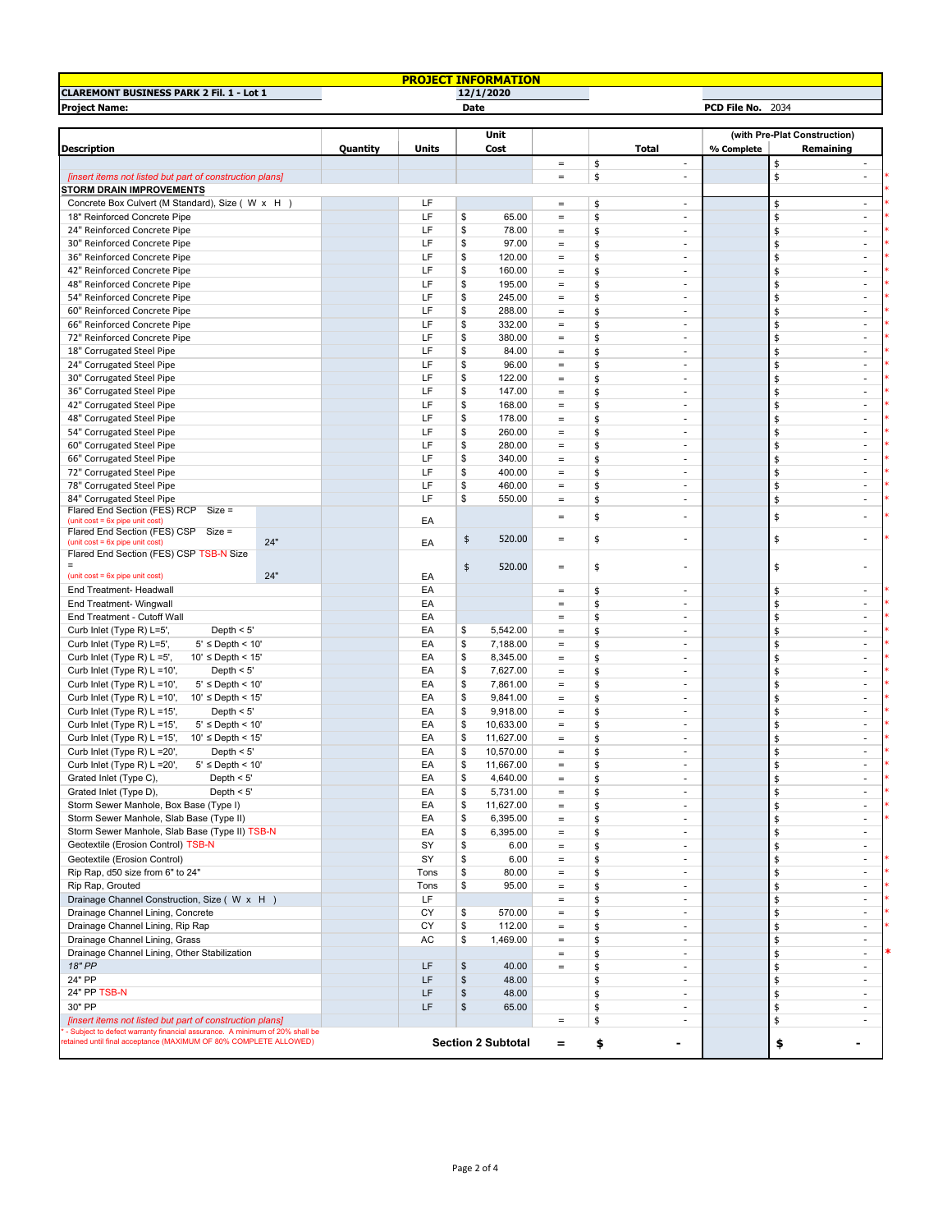|                                                                                 |          |           |                | <b>PROJECT INFORMATION</b> |                      |          |                                |                   |                              |                          |
|---------------------------------------------------------------------------------|----------|-----------|----------------|----------------------------|----------------------|----------|--------------------------------|-------------------|------------------------------|--------------------------|
| <b>CLAREMONT BUSINESS PARK 2 Fil. 1 - Lot 1</b>                                 |          |           |                | 12/1/2020                  |                      |          |                                |                   |                              |                          |
| <b>Project Name:</b>                                                            |          |           | Date           |                            |                      |          |                                | PCD File No. 2034 |                              |                          |
|                                                                                 |          |           |                |                            |                      |          |                                |                   |                              |                          |
|                                                                                 |          |           |                | <b>Unit</b>                |                      |          |                                |                   | (with Pre-Plat Construction) |                          |
| <b>Description</b>                                                              | Quantity | Units     |                | Cost                       |                      |          | Total                          | % Complete        | Remaining                    |                          |
|                                                                                 |          |           |                |                            | $\equiv$             | \$       | $\overline{\phantom{a}}$       |                   | \$                           | $\overline{\phantom{a}}$ |
| [insert items not listed but part of construction plans]                        |          |           |                |                            | $\equiv$             | \$       | $\overline{\phantom{a}}$       |                   | \$                           | $\overline{\phantom{a}}$ |
| <b>STORM DRAIN IMPROVEMENTS</b>                                                 |          | LF        |                |                            |                      |          |                                |                   |                              | $\overline{\phantom{a}}$ |
| Concrete Box Culvert (M Standard), Size ( W x H                                 |          | LF        |                |                            | $\equiv$             | \$       | $\overline{\phantom{a}}$<br>÷, |                   | \$                           | $\blacksquare$           |
| 18" Reinforced Concrete Pipe<br>24" Reinforced Concrete Pipe                    |          | LF        | \$<br>\$       | 65.00<br>78.00             | $\equiv$             | \$       | $\sim$                         |                   | \$<br>\$                     | $\sim$                   |
|                                                                                 |          | LF        | \$             |                            | $\equiv$             | \$<br>\$ | $\sim$                         |                   |                              | ×                        |
| 30" Reinforced Concrete Pipe<br>36" Reinforced Concrete Pipe                    |          | LF        | \$             | 97.00<br>120.00            | $\equiv$<br>$\equiv$ | \$       | ٠                              |                   | \$<br>\$                     | $\overline{\phantom{a}}$ |
| 42" Reinforced Concrete Pipe                                                    |          | LF        | \$             | 160.00                     | $\equiv$             | \$       | $\overline{\phantom{a}}$       |                   | \$                           | $\overline{\phantom{a}}$ |
| 48" Reinforced Concrete Pipe                                                    |          | LF        | \$             | 195.00                     | $\equiv$             | \$       | $\overline{\phantom{a}}$       |                   | \$                           | $\overline{\phantom{a}}$ |
| 54" Reinforced Concrete Pipe                                                    |          | LF        | \$             | 245.00                     | $\equiv$             | \$       | $\overline{\phantom{a}}$       |                   | \$                           | $\overline{\phantom{a}}$ |
| 60" Reinforced Concrete Pipe                                                    |          | LF        | \$             | 288.00                     | $\equiv$             | \$       | $\overline{\phantom{a}}$       |                   | \$                           | $\sim$                   |
| 66" Reinforced Concrete Pipe                                                    |          | LF        | \$             | 332.00                     | $\,=\,$              | \$       | $\overline{\phantom{a}}$       |                   | \$                           | $\overline{\phantom{a}}$ |
| 72" Reinforced Concrete Pipe                                                    |          | LF        | \$             | 380.00                     | $\equiv$             | \$       | $\overline{\phantom{a}}$       |                   | \$                           | $\overline{\phantom{a}}$ |
| 18" Corrugated Steel Pipe                                                       |          | LF        | \$             | 84.00                      | $\equiv$             | \$       | ÷                              |                   | \$                           | ×                        |
| 24" Corrugated Steel Pipe                                                       |          | LF        | \$             | 96.00                      | $\equiv$             | \$       | $\overline{\phantom{a}}$       |                   | \$                           | $\sim$                   |
| 30" Corrugated Steel Pipe                                                       |          | LF        | \$             | 122.00                     | $\equiv$             | \$       | $\sim$                         |                   | \$                           | ÷.                       |
| 36" Corrugated Steel Pipe                                                       |          | LF        | \$             | 147.00                     | $\equiv$             | \$       | $\overline{\phantom{a}}$       |                   | \$                           | $\overline{a}$           |
| 42" Corrugated Steel Pipe                                                       |          | LF        | \$             | 168.00                     | $\equiv$             | \$       | $\sim$                         |                   | \$                           | $\overline{\phantom{a}}$ |
| 48" Corrugated Steel Pipe                                                       |          | LF        | \$             | 178.00                     | $\equiv$             | \$       | $\overline{\phantom{a}}$       |                   | \$                           | $\sim$                   |
| 54" Corrugated Steel Pipe                                                       |          | LF        | \$             | 260.00                     | $\equiv$             | \$       | $\overline{\phantom{a}}$       |                   | \$                           | $\overline{\phantom{a}}$ |
| 60" Corrugated Steel Pipe                                                       |          | LF        | \$             | 280.00                     | $\equiv$             | \$       | $\overline{\phantom{a}}$       |                   | \$                           | $\frac{1}{2}$            |
| 66" Corrugated Steel Pipe                                                       |          | LF        | \$             | 340.00                     | $\equiv$             | \$       | $\sim$                         |                   | \$                           | $\overline{\phantom{a}}$ |
| 72" Corrugated Steel Pipe                                                       |          | LF        | \$             | 400.00                     | $\equiv$             | \$       | $\sim$                         |                   | \$                           | $\overline{\phantom{a}}$ |
| 78" Corrugated Steel Pipe                                                       |          | LF        | \$             | 460.00                     | $\equiv$             | \$       | $\sim$                         |                   | \$                           | $\sim$                   |
| 84" Corrugated Steel Pipe                                                       |          | LF        | \$             | 550.00                     | $\equiv$             | \$       | $\overline{\phantom{a}}$       |                   | \$                           | $\overline{a}$           |
| Flared End Section (FES) RCP Size =                                             |          |           |                |                            |                      |          |                                |                   |                              |                          |
| (unit $cost = 6x$ pipe unit $cost$ )                                            |          | EA        |                |                            | $\equiv$             | \$       | $\blacksquare$                 |                   | \$                           |                          |
| Flared End Section (FES) CSP Size =<br>24"                                      |          |           | \$             | 520.00                     | $\equiv$             | \$       |                                |                   | \$                           |                          |
| (unit $cost = 6x$ pipe unit $cost$ )<br>Flared End Section (FES) CSP TSB-N Size |          | EA        |                |                            |                      |          |                                |                   |                              |                          |
|                                                                                 |          |           | \$             | 520.00                     | $\equiv$             | \$       | $\overline{\phantom{a}}$       |                   | \$                           |                          |
| 24"<br>(unit $cost = 6x$ pipe unit $cost$ )                                     |          | EA        |                |                            |                      |          |                                |                   |                              |                          |
| End Treatment- Headwall                                                         |          | EA        |                |                            | $\equiv$             | \$       | $\overline{\phantom{a}}$       |                   | \$                           | $\overline{\phantom{a}}$ |
| End Treatment- Wingwall                                                         |          | EA        |                |                            | $\equiv$             | \$       | $\sim$                         |                   | \$                           | ×.                       |
| End Treatment - Cutoff Wall                                                     |          | EA        |                |                            | $\qquad \qquad =$    | \$       | $\sim$                         |                   | \$                           | ×                        |
| Curb Inlet (Type R) L=5',<br>Depth $<$ 5'                                       |          | EA        | \$             | 5,542.00                   | $\equiv$             | \$       | ٠                              |                   | \$                           | $\overline{\phantom{a}}$ |
| Curb Inlet (Type R) L=5',<br>$5' \leq$ Depth < 10'                              |          | EA        | \$             | 7,188.00                   | $\equiv$             | \$       | $\overline{\phantom{a}}$       |                   | \$                           | $\overline{\phantom{a}}$ |
| Curb Inlet (Type R) L =5',<br>$10' \leq$ Depth < 15'                            |          | EA        | \$             | 8,345.00                   | $\equiv$             | \$       | $\overline{\phantom{a}}$       |                   | \$                           | $\overline{\phantom{a}}$ |
| Curb Inlet (Type R) L =10',<br>Depth $<$ 5'                                     |          | EA        | \$             | 7,627.00                   | $\equiv$             | \$       | $\overline{\phantom{a}}$       |                   | \$                           | $\sim$                   |
| Curb Inlet (Type R) L =10',<br>$5' \le$ Depth < 10'                             |          | EA        | \$             | 7,861.00                   | $\equiv$             | \$       | $\overline{\phantom{a}}$       |                   | \$                           | $\sim$                   |
| Curb Inlet (Type R) L =10',<br>$10' \leq$ Depth < 15'                           |          | EA        | \$             | 9,841.00                   | $\,=\,$              | \$       | $\overline{\phantom{a}}$       |                   | \$                           | $\overline{\phantom{a}}$ |
| Depth $<$ 5'<br>Curb Inlet (Type R) $L = 15'$ ,                                 |          | EA        | \$             | 9,918.00                   | $\equiv$             | \$       | $\overline{\phantom{a}}$       |                   | \$                           | $\overline{\phantom{a}}$ |
| Curb Inlet (Type R) L =15',<br>$5' \leq$ Depth < 10'                            |          | EA        | \$             | 10,633.00                  | $\equiv$             | \$       | $\sim$                         |                   | \$                           | ×                        |
| Curb Inlet (Type R) L =15',<br>$10' \leq$ Depth < 15'                           |          | EA        | \$             | 11,627.00                  | $\equiv$             | \$       | $\overline{\phantom{a}}$       |                   | \$                           | $\sim$                   |
| Depth $<$ 5'<br>Curb Inlet (Type R) L = 20',                                    |          | EA        | \$             | 10,570.00                  | $\equiv$             | \$       | $\sim$                         |                   | \$                           | $\sim$                   |
| Curb Inlet (Type R) L = 20',<br>$5' \leq$ Depth < 10'                           |          | EA        | \$             | 11,667.00                  | $\equiv$             | \$       |                                |                   | \$                           |                          |
| Grated Inlet (Type C),<br>Depth $<$ 5'                                          |          | EA        | \$             | 4,640.00                   | $\equiv$             | \$       | ٠                              |                   | \$                           | $\overline{\phantom{a}}$ |
| Grated Inlet (Type D),<br>Depth $<$ 5'                                          |          | EA        | \$             | 5,731.00                   | $\equiv$             | \$       | $\sim$                         |                   | \$                           | ×.                       |
| Storm Sewer Manhole, Box Base (Type I)                                          |          | EA        | \$             | 11,627.00                  | $\equiv$             | \$       | $\blacksquare$                 |                   | \$                           | $\sim$                   |
| Storm Sewer Manhole, Slab Base (Type II)                                        |          | EA        | \$             | 6,395.00                   | $\equiv$             | \$       | $\overline{\phantom{a}}$       |                   | \$                           | $\overline{\phantom{a}}$ |
| Storm Sewer Manhole, Slab Base (Type II) TSB-N                                  |          | EA        | \$             | 6,395.00                   | $\equiv$             | \$       | $\overline{\phantom{a}}$       |                   | \$                           | $\overline{\phantom{a}}$ |
| Geotextile (Erosion Control) TSB-N                                              |          | SY        | \$             | 6.00                       | $\equiv$             | \$       | $\sim$                         |                   | \$                           | ×                        |
| Geotextile (Erosion Control)                                                    |          | SY        | \$             | 6.00                       | $=$                  | \$       | $\sim$                         |                   | \$                           | $\sim$                   |
| Rip Rap, d50 size from 6" to 24"                                                |          | Tons      | \$             | 80.00                      | $\equiv$             | \$       | $\overline{\phantom{a}}$       |                   | \$                           | $\overline{\phantom{a}}$ |
| Rip Rap, Grouted                                                                |          | Tons      | \$             | 95.00                      | $\equiv$             | \$       | $\overline{\phantom{a}}$       |                   | \$                           | $\overline{\phantom{a}}$ |
| Drainage Channel Construction, Size (W x H)                                     |          | LF        |                |                            | $\equiv$             | \$       | $\sim$                         |                   | \$                           | $\sim$                   |
| Drainage Channel Lining, Concrete                                               |          | CY        | \$             | 570.00                     | $\equiv$             | \$       | ×.                             |                   | \$                           | ×.                       |
| Drainage Channel Lining, Rip Rap                                                |          | СY        | \$             | 112.00                     | $\equiv$             | \$       | $\overline{\phantom{a}}$       |                   | \$                           | $\overline{\phantom{a}}$ |
| Drainage Channel Lining, Grass                                                  |          | AC        | \$             | 1,469.00                   | $\equiv$             | \$       | $\overline{\phantom{a}}$       |                   | \$                           | $\overline{\phantom{a}}$ |
| Drainage Channel Lining, Other Stabilization                                    |          |           |                |                            | $\equiv$             | \$       | $\sim$                         |                   | \$                           | $\overline{\phantom{a}}$ |
| 18" PP                                                                          |          | LF        | \$             | 40.00                      | $\equiv$             | \$       | $\sim$                         |                   | \$                           | ×                        |
| 24" PP                                                                          |          | LF        | $$\mathbb{S}$$ | 48.00                      |                      | \$       | $\overline{\phantom{a}}$       |                   | \$                           | $\overline{\phantom{a}}$ |
| 24" PP TSB-N                                                                    |          | LF        | \$             | 48.00                      |                      | \$       | $\overline{\phantom{a}}$       |                   | \$                           | $\overline{\phantom{a}}$ |
| 30" PP                                                                          |          | <b>LF</b> | $$\mathbb{S}$$ | 65.00                      |                      | \$       | $\overline{\phantom{a}}$       |                   | \$                           | $\overline{\phantom{a}}$ |
| [insert items not listed but part of construction plans]                        |          |           |                |                            | $\equiv$             | \$       | $\overline{\phantom{a}}$       |                   | \$                           | $\overline{\phantom{a}}$ |
| - Subject to defect warranty financial assurance. A minimum of 20% shall be     |          |           |                |                            |                      |          |                                |                   |                              |                          |
| etained until final acceptance (MAXIMUM OF 80% COMPLETE ALLOWED)                |          |           |                | <b>Section 2 Subtotal</b>  | $=$                  | \$       | ۰                              |                   | \$                           |                          |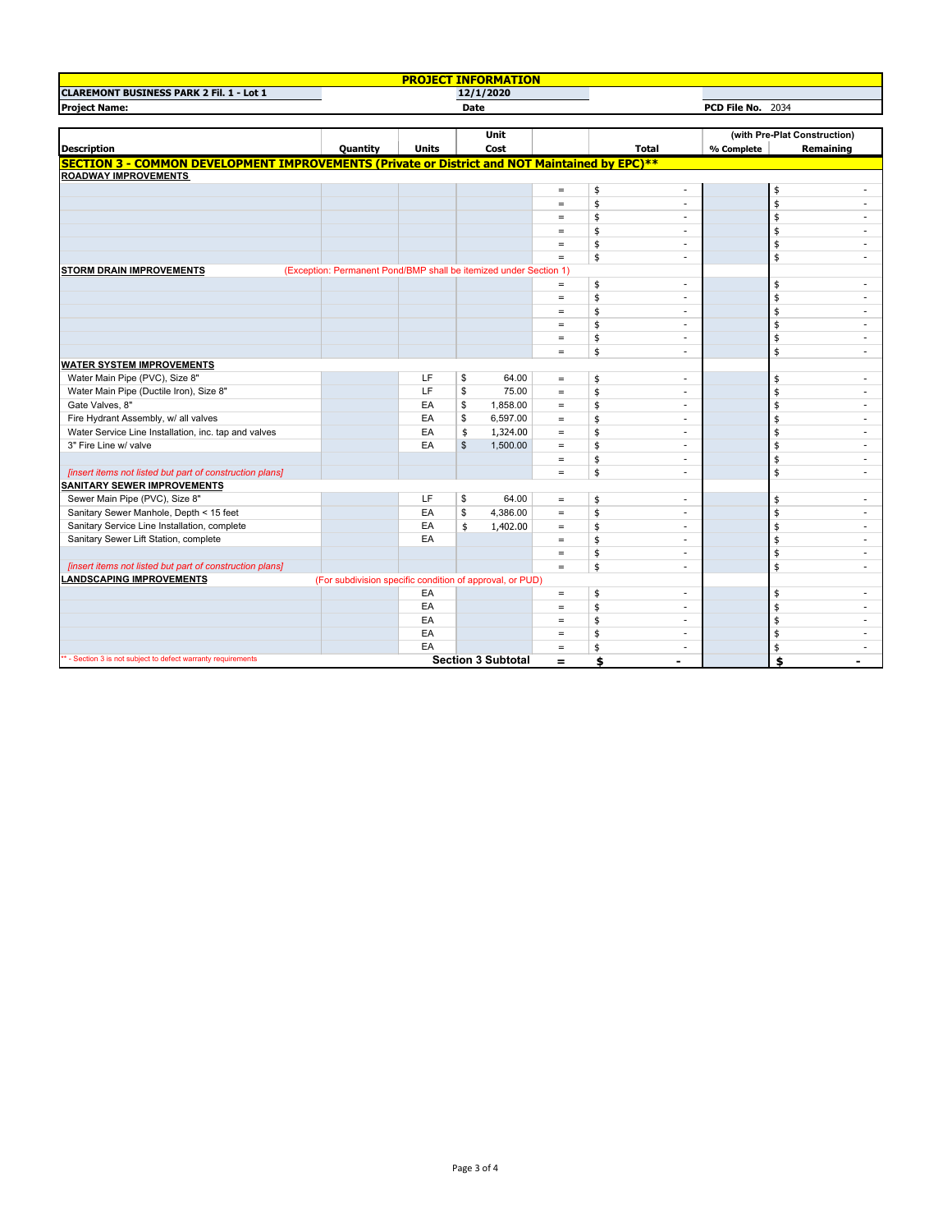|                                                                                                      |                                                                   | <b>PROJECT INFORMATION</b> |              |                           |                   |    |                          |            |                              |                |
|------------------------------------------------------------------------------------------------------|-------------------------------------------------------------------|----------------------------|--------------|---------------------------|-------------------|----|--------------------------|------------|------------------------------|----------------|
| <b>CLAREMONT BUSINESS PARK 2 Fil. 1 - Lot 1</b>                                                      |                                                                   |                            |              | 12/1/2020                 |                   |    |                          |            |                              |                |
| <b>Project Name:</b>                                                                                 | <b>Date</b>                                                       |                            |              |                           | PCD File No. 2034 |    |                          |            |                              |                |
|                                                                                                      |                                                                   |                            |              |                           |                   |    |                          |            |                              |                |
|                                                                                                      |                                                                   |                            |              | Unit                      |                   |    |                          |            | (with Pre-Plat Construction) |                |
| <b>Description</b>                                                                                   | <b>Quantity</b>                                                   | <b>Units</b>               |              | Cost                      |                   |    | Total                    | % Complete |                              | Remaining      |
| <b>SECTION 3 - COMMON DEVELOPMENT IMPROVEMENTS (Private or District and NOT Maintained by EPC)**</b> |                                                                   |                            |              |                           |                   |    |                          |            |                              |                |
| <b>ROADWAY IMPROVEMENTS</b>                                                                          |                                                                   |                            |              |                           |                   |    |                          |            |                              |                |
|                                                                                                      |                                                                   |                            |              |                           | $\equiv$          | \$ | $\mathbf{r}$             |            | \$                           |                |
|                                                                                                      |                                                                   |                            |              |                           | $\qquad \qquad =$ | \$ | ÷                        |            | \$                           |                |
|                                                                                                      |                                                                   |                            |              |                           | $\equiv$          | \$ | $\sim$                   |            | \$                           |                |
|                                                                                                      |                                                                   |                            |              |                           | $\equiv$          | \$ | $\overline{\phantom{a}}$ |            | \$                           |                |
|                                                                                                      |                                                                   |                            |              |                           | $\equiv$          | \$ | $\sim$                   |            | \$                           |                |
|                                                                                                      |                                                                   |                            |              |                           | $=$               | \$ | $\sim$                   |            | \$                           | ٠              |
| <b>STORM DRAIN IMPROVEMENTS</b>                                                                      | (Exception: Permanent Pond/BMP shall be itemized under Section 1) |                            |              |                           |                   |    |                          |            |                              |                |
|                                                                                                      |                                                                   |                            |              |                           | $=$               | \$ | $\sim$                   |            | \$                           |                |
|                                                                                                      |                                                                   |                            |              |                           | $\qquad \qquad =$ | \$ | $\sim$                   |            | \$                           | ٠              |
|                                                                                                      |                                                                   |                            |              |                           | $=$               | \$ | ÷.                       |            | \$                           | $\overline{a}$ |
|                                                                                                      |                                                                   |                            |              |                           | $=$               | \$ | $\sim$                   |            | \$                           |                |
|                                                                                                      |                                                                   |                            |              |                           | $=$               | \$ | $\sim$                   |            | \$                           | ٠              |
|                                                                                                      |                                                                   |                            |              |                           | $\qquad \qquad =$ | \$ | $\sim$                   |            | \$                           | ٠              |
| <b>WATER SYSTEM IMPROVEMENTS</b>                                                                     |                                                                   |                            |              |                           |                   |    |                          |            |                              |                |
| Water Main Pipe (PVC), Size 8"                                                                       |                                                                   | LF                         | \$           | 64.00                     | $\equiv$          | \$ | ÷                        |            | \$                           | ÷.             |
| Water Main Pipe (Ductile Iron), Size 8"                                                              |                                                                   | LF                         | \$           | 75.00                     | $=$               | \$ | $\sim$                   |            | \$                           | $\sim$         |
| Gate Valves, 8"                                                                                      |                                                                   | EA                         | \$           | 1,858.00                  | $\equiv$          | \$ | $\sim$                   |            | \$                           | $\sim$         |
| Fire Hydrant Assembly, w/ all valves                                                                 |                                                                   | EA                         | \$           | 6,597.00                  | $=$               | \$ | $\sim$                   |            | \$                           |                |
| Water Service Line Installation, inc. tap and valves                                                 |                                                                   | EA                         | \$           | 1,324.00                  | $=$               | \$ | ٠                        |            | \$                           | ٠              |
| 3" Fire Line w/ valve                                                                                |                                                                   | EA                         | $\mathbb{S}$ | 1,500.00                  | $\equiv$          | \$ | $\sim$                   |            | \$                           | ٠              |
|                                                                                                      |                                                                   |                            |              |                           | $=$               | \$ | ÷.                       |            | \$                           |                |
| [insert items not listed but part of construction plans]                                             |                                                                   |                            |              |                           | $=$               | \$ | $\sim$                   |            | \$                           | ÷.             |
| <b>SANITARY SEWER IMPROVEMENTS</b>                                                                   |                                                                   |                            |              |                           |                   |    |                          |            |                              |                |
| Sewer Main Pipe (PVC), Size 8"                                                                       |                                                                   | LF                         | \$           | 64.00                     | $\equiv$          | \$ | $\overline{\phantom{a}}$ |            | \$                           |                |
| Sanitary Sewer Manhole, Depth < 15 feet                                                              |                                                                   | EA                         | \$           | 4,386.00                  | $\equiv$          | \$ | ÷.                       |            | \$                           | ÷              |
| Sanitary Service Line Installation, complete                                                         |                                                                   | EA                         | \$           | 1,402.00                  | $=$               | \$ | $\overline{\phantom{a}}$ |            | \$                           |                |
| Sanitary Sewer Lift Station, complete                                                                |                                                                   | EA                         |              |                           | $\equiv$          | \$ | $\sim$                   |            | \$                           |                |
|                                                                                                      |                                                                   |                            |              |                           | $\equiv$          | \$ | $\sim$                   |            | \$                           | ٠              |
| [insert items not listed but part of construction plans]                                             |                                                                   |                            |              |                           | $=$               | \$ | $\sim$                   |            | \$                           | ٠              |
| <b>LANDSCAPING IMPROVEMENTS</b>                                                                      | (For subdivision specific condition of approval, or PUD)          |                            |              |                           |                   |    |                          |            |                              |                |
|                                                                                                      |                                                                   | EA                         |              |                           | $=$               | \$ | $\overline{\phantom{a}}$ |            | \$                           | ٠              |
|                                                                                                      |                                                                   | EA                         |              |                           | $=$               | \$ | $\overline{\phantom{a}}$ |            | \$                           | ÷.             |
|                                                                                                      |                                                                   | EA                         |              |                           | $\qquad \qquad =$ | \$ | $\sim$                   |            | \$                           |                |
|                                                                                                      |                                                                   | EA                         |              |                           | $\equiv$          | \$ | $\sim$                   |            | \$                           | ٠              |
|                                                                                                      |                                                                   | EA                         |              |                           | $=$               | \$ | $\sim$                   |            | \$                           | $\sim$         |
| ** - Section 3 is not subject to defect warranty requirements                                        |                                                                   |                            |              | <b>Section 3 Subtotal</b> | $=$               | \$ | $\blacksquare$           |            | \$                           |                |